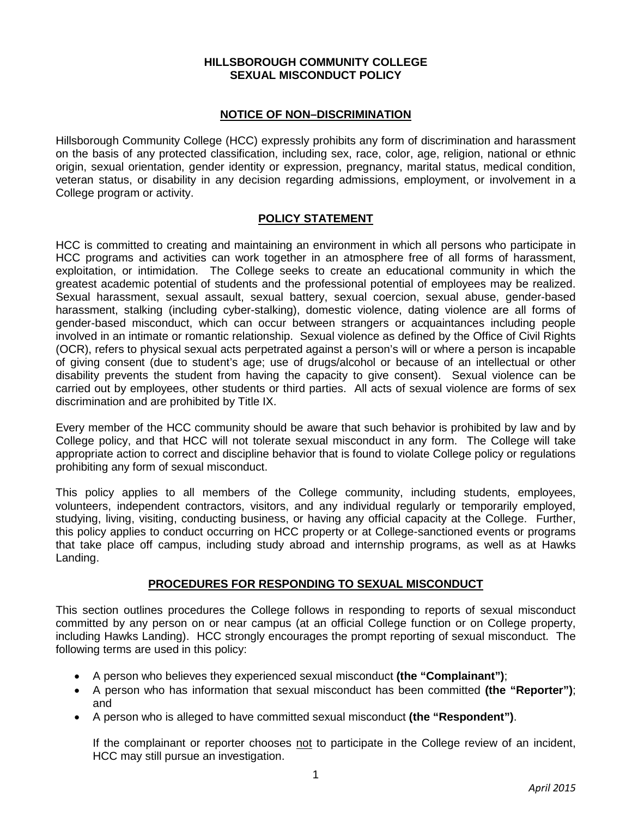## **HILLSBOROUGH COMMUNITY COLLEGE SEXUAL MISCONDUCT POLICY**

## **NOTICE OF NON–DISCRIMINATION**

Hillsborough Community College (HCC) expressly prohibits any form of discrimination and harassment on the basis of any protected classification, including sex, race, color, age, religion, national or ethnic origin, sexual orientation, gender identity or expression, pregnancy, marital status, medical condition, veteran status, or disability in any decision regarding admissions, employment, or involvement in a College program or activity.

## **POLICY STATEMENT**

HCC is committed to creating and maintaining an environment in which all persons who participate in HCC programs and activities can work together in an atmosphere free of all forms of harassment, exploitation, or intimidation. The College seeks to create an educational community in which the greatest academic potential of students and the professional potential of employees may be realized. Sexual harassment, sexual assault, sexual battery, sexual coercion, sexual abuse, gender-based harassment, stalking (including cyber-stalking), domestic violence, dating violence are all forms of gender-based misconduct, which can occur between strangers or acquaintances including people involved in an intimate or romantic relationship. Sexual violence as defined by the Office of Civil Rights (OCR), refers to physical sexual acts perpetrated against a person's will or where a person is incapable of giving consent (due to student's age; use of drugs/alcohol or because of an intellectual or other disability prevents the student from having the capacity to give consent). Sexual violence can be carried out by employees, other students or third parties. All acts of sexual violence are forms of sex discrimination and are prohibited by Title IX.

Every member of the HCC community should be aware that such behavior is prohibited by law and by College policy, and that HCC will not tolerate sexual misconduct in any form. The College will take appropriate action to correct and discipline behavior that is found to violate College policy or regulations prohibiting any form of sexual misconduct.

This policy applies to all members of the College community, including students, employees, volunteers, independent contractors, visitors, and any individual regularly or temporarily employed, studying, living, visiting, conducting business, or having any official capacity at the College. Further, this policy applies to conduct occurring on HCC property or at College-sanctioned events or programs that take place off campus, including study abroad and internship programs, as well as at Hawks Landing.

#### **PROCEDURES FOR RESPONDING TO SEXUAL MISCONDUCT**

This section outlines procedures the College follows in responding to reports of sexual misconduct committed by any person on or near campus (at an official College function or on College property, including Hawks Landing). HCC strongly encourages the prompt reporting of sexual misconduct. The following terms are used in this policy:

- A person who believes they experienced sexual misconduct **(the "Complainant")**;
- A person who has information that sexual misconduct has been committed **(the "Reporter")**; and
- A person who is alleged to have committed sexual misconduct **(the "Respondent")**.

If the complainant or reporter chooses not to participate in the College review of an incident, HCC may still pursue an investigation.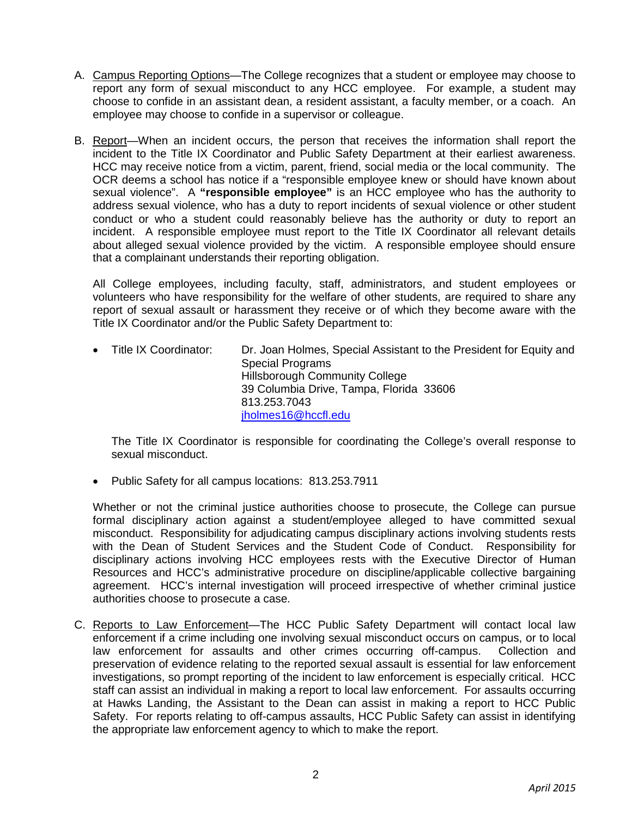- A. Campus Reporting Options—The College recognizes that a student or employee may choose to report any form of sexual misconduct to any HCC employee. For example, a student may choose to confide in an assistant dean, a resident assistant, a faculty member, or a coach. An employee may choose to confide in a supervisor or colleague.
- B. Report—When an incident occurs, the person that receives the information shall report the incident to the Title IX Coordinator and Public Safety Department at their earliest awareness. HCC may receive notice from a victim, parent, friend, social media or the local community. The OCR deems a school has notice if a "responsible employee knew or should have known about sexual violence". A **"responsible employee"** is an HCC employee who has the authority to address sexual violence, who has a duty to report incidents of sexual violence or other student conduct or who a student could reasonably believe has the authority or duty to report an incident. A responsible employee must report to the Title IX Coordinator all relevant details about alleged sexual violence provided by the victim. A responsible employee should ensure that a complainant understands their reporting obligation.

All College employees, including faculty, staff, administrators, and student employees or volunteers who have responsibility for the welfare of other students, are required to share any report of sexual assault or harassment they receive or of which they become aware with the Title IX Coordinator and/or the Public Safety Department to:

• Title IX Coordinator: Dr. Joan Holmes, Special Assistant to the President for Equity and Special Programs Hillsborough Community College 39 Columbia Drive, Tampa, Florida 33606 813.253.7043 [jholmes16@hccfl.edu](mailto:jholmes16@hccfl.edu)

The Title IX Coordinator is responsible for coordinating the College's overall response to sexual misconduct.

• Public Safety for all campus locations: 813.253.7911

Whether or not the criminal justice authorities choose to prosecute, the College can pursue formal disciplinary action against a student/employee alleged to have committed sexual misconduct. Responsibility for adjudicating campus disciplinary actions involving students rests with the Dean of Student Services and the Student Code of Conduct. Responsibility for disciplinary actions involving HCC employees rests with the Executive Director of Human Resources and HCC's administrative procedure on discipline/applicable collective bargaining agreement. HCC's internal investigation will proceed irrespective of whether criminal justice authorities choose to prosecute a case.

C. Reports to Law Enforcement—The HCC Public Safety Department will contact local law enforcement if a crime including one involving sexual misconduct occurs on campus, or to local law enforcement for assaults and other crimes occurring off-campus. Collection and preservation of evidence relating to the reported sexual assault is essential for law enforcement investigations, so prompt reporting of the incident to law enforcement is especially critical. HCC staff can assist an individual in making a report to local law enforcement. For assaults occurring at Hawks Landing, the Assistant to the Dean can assist in making a report to HCC Public Safety. For reports relating to off-campus assaults, HCC Public Safety can assist in identifying the appropriate law enforcement agency to which to make the report.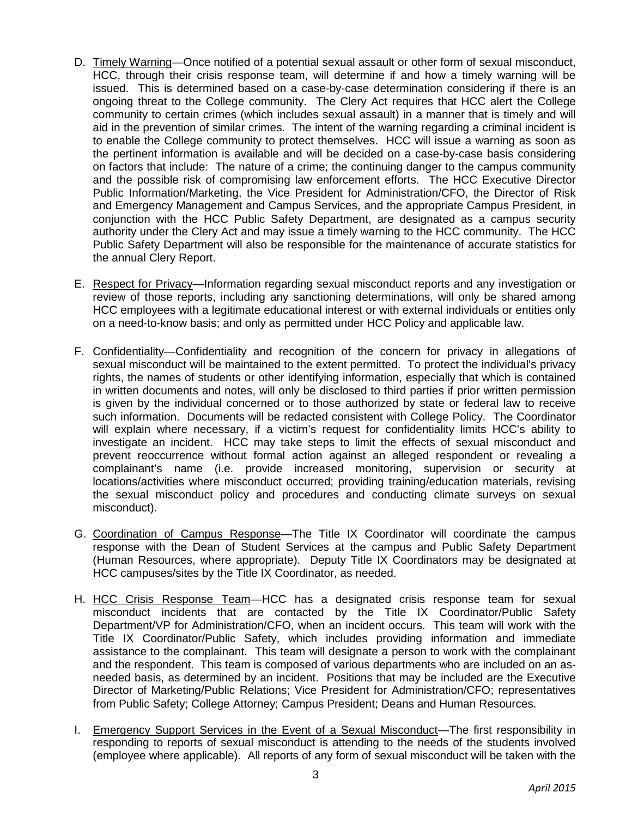- D. Timely Warning—Once notified of a potential sexual assault or other form of sexual misconduct, HCC, through their crisis response team, will determine if and how a timely warning will be issued. This is determined based on a case-by-case determination considering if there is an ongoing threat to the College community. The Clery Act requires that HCC alert the College community to certain crimes (which includes sexual assault) in a manner that is timely and will aid in the prevention of similar crimes. The intent of the warning regarding a criminal incident is to enable the College community to protect themselves. HCC will issue a warning as soon as the pertinent information is available and will be decided on a case-by-case basis considering on factors that include: The nature of a crime; the continuing danger to the campus community and the possible risk of compromising law enforcement efforts. The HCC Executive Director Public Information/Marketing, the Vice President for Administration/CFO, the Director of Risk and Emergency Management and Campus Services, and the appropriate Campus President, in conjunction with the HCC Public Safety Department, are designated as a campus security authority under the Clery Act and may issue a timely warning to the HCC community. The HCC Public Safety Department will also be responsible for the maintenance of accurate statistics for the annual Clery Report.
- E. Respect for Privacy—Information regarding sexual misconduct reports and any investigation or review of those reports, including any sanctioning determinations, will only be shared among HCC employees with a legitimate educational interest or with external individuals or entities only on a need-to-know basis; and only as permitted under HCC Policy and applicable law.
- F. Confidentiality—Confidentiality and recognition of the concern for privacy in allegations of sexual misconduct will be maintained to the extent permitted. To protect the individual's privacy rights, the names of students or other identifying information, especially that which is contained in written documents and notes, will only be disclosed to third parties if prior written permission is given by the individual concerned or to those authorized by state or federal law to receive such information. Documents will be redacted consistent with College Policy. The Coordinator will explain where necessary, if a victim's request for confidentiality limits HCC's ability to investigate an incident. HCC may take steps to limit the effects of sexual misconduct and prevent reoccurrence without formal action against an alleged respondent or revealing a complainant's name (i.e. provide increased monitoring, supervision or security at locations/activities where misconduct occurred; providing training/education materials, revising the sexual misconduct policy and procedures and conducting climate surveys on sexual misconduct).
- G. Coordination of Campus Response—The Title IX Coordinator will coordinate the campus response with the Dean of Student Services at the campus and Public Safety Department (Human Resources, where appropriate). Deputy Title IX Coordinators may be designated at HCC campuses/sites by the Title IX Coordinator, as needed.
- H. HCC Crisis Response Team—HCC has a designated crisis response team for sexual misconduct incidents that are contacted by the Title IX Coordinator/Public Safety Department/VP for Administration/CFO, when an incident occurs. This team will work with the Title IX Coordinator/Public Safety, which includes providing information and immediate assistance to the complainant. This team will designate a person to work with the complainant and the respondent. This team is composed of various departments who are included on an asneeded basis, as determined by an incident. Positions that may be included are the Executive Director of Marketing/Public Relations; Vice President for Administration/CFO; representatives from Public Safety; College Attorney; Campus President; Deans and Human Resources.
- I. Emergency Support Services in the Event of a Sexual Misconduct—The first responsibility in responding to reports of sexual misconduct is attending to the needs of the students involved (employee where applicable). All reports of any form of sexual misconduct will be taken with the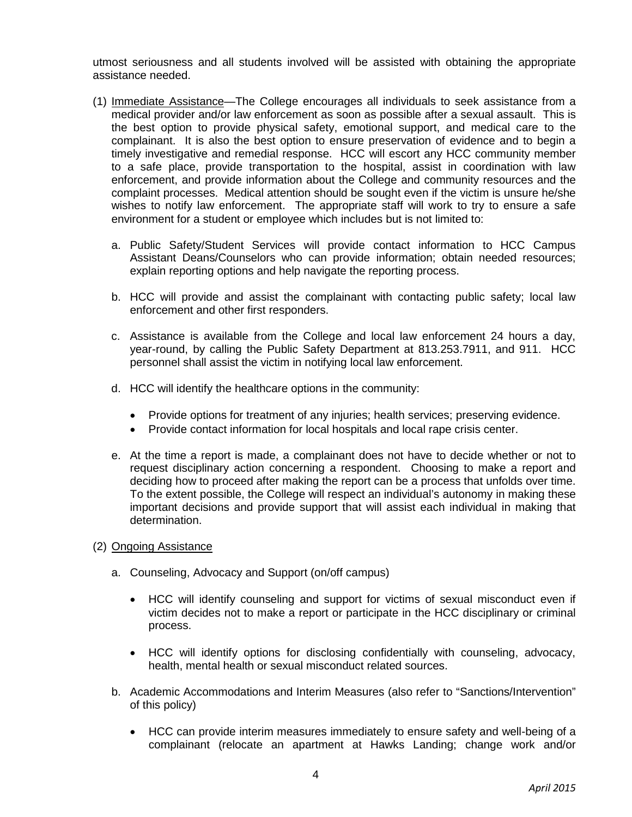utmost seriousness and all students involved will be assisted with obtaining the appropriate assistance needed.

- (1) Immediate Assistance—The College encourages all individuals to seek assistance from a medical provider and/or law enforcement as soon as possible after a sexual assault. This is the best option to provide physical safety, emotional support, and medical care to the complainant. It is also the best option to ensure preservation of evidence and to begin a timely investigative and remedial response. HCC will escort any HCC community member to a safe place, provide transportation to the hospital, assist in coordination with law enforcement, and provide information about the College and community resources and the complaint processes. Medical attention should be sought even if the victim is unsure he/she wishes to notify law enforcement. The appropriate staff will work to try to ensure a safe environment for a student or employee which includes but is not limited to:
	- a. Public Safety/Student Services will provide contact information to HCC Campus Assistant Deans/Counselors who can provide information; obtain needed resources; explain reporting options and help navigate the reporting process.
	- b. HCC will provide and assist the complainant with contacting public safety; local law enforcement and other first responders.
	- c. Assistance is available from the College and local law enforcement 24 hours a day, year-round, by calling the Public Safety Department at 813.253.7911, and 911. HCC personnel shall assist the victim in notifying local law enforcement.
	- d. HCC will identify the healthcare options in the community:
		- Provide options for treatment of any injuries; health services; preserving evidence.
		- Provide contact information for local hospitals and local rape crisis center.
	- e. At the time a report is made, a complainant does not have to decide whether or not to request disciplinary action concerning a respondent. Choosing to make a report and deciding how to proceed after making the report can be a process that unfolds over time. To the extent possible, the College will respect an individual's autonomy in making these important decisions and provide support that will assist each individual in making that determination.
- (2) Ongoing Assistance
	- a. Counseling, Advocacy and Support (on/off campus)
		- HCC will identify counseling and support for victims of sexual misconduct even if victim decides not to make a report or participate in the HCC disciplinary or criminal process.
		- HCC will identify options for disclosing confidentially with counseling, advocacy, health, mental health or sexual misconduct related sources.
	- b. Academic Accommodations and Interim Measures (also refer to "Sanctions/Intervention" of this policy)
		- HCC can provide interim measures immediately to ensure safety and well-being of a complainant (relocate an apartment at Hawks Landing; change work and/or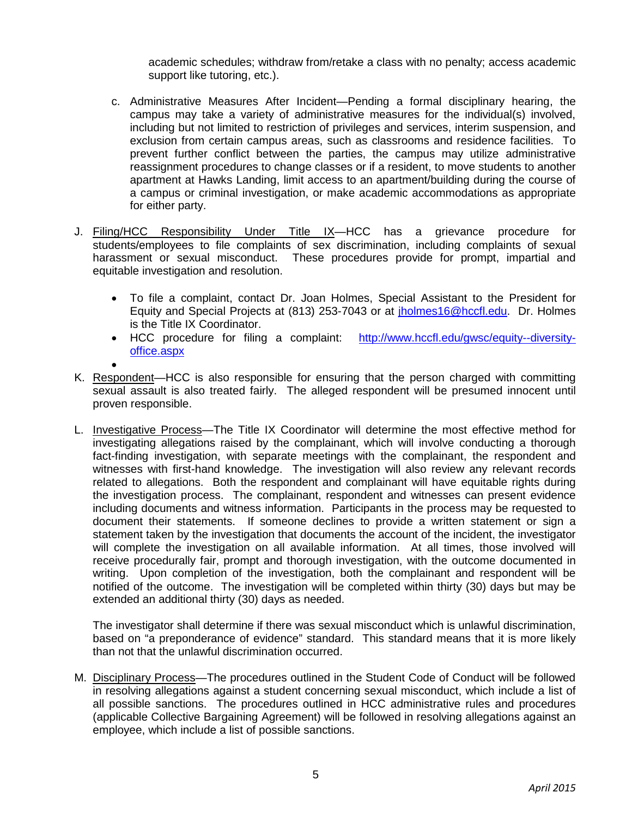academic schedules; withdraw from/retake a class with no penalty; access academic support like tutoring, etc.).

- c. Administrative Measures After Incident—Pending a formal disciplinary hearing, the campus may take a variety of administrative measures for the individual(s) involved, including but not limited to restriction of privileges and services, interim suspension, and exclusion from certain campus areas, such as classrooms and residence facilities. To prevent further conflict between the parties, the campus may utilize administrative reassignment procedures to change classes or if a resident, to move students to another apartment at Hawks Landing, limit access to an apartment/building during the course of a campus or criminal investigation, or make academic accommodations as appropriate for either party.
- J. Filing/HCC Responsibility Under Title IX—HCC has a grievance procedure for students/employees to file complaints of sex discrimination, including complaints of sexual harassment or sexual misconduct. These procedures provide for prompt, impartial and equitable investigation and resolution.
	- To file a complaint, contact Dr. Joan Holmes, Special Assistant to the President for Equity and Special Projects at (813) 253-7043 or at [jholmes16@hccfl.edu.](mailto:jholmes16@hccfl.edu) Dr. Holmes is the Title IX Coordinator.
	- HCC procedure for filing a complaint: [http://www.hccfl.edu/gwsc/equity--diversity](http://www.hccfl.edu/gwsc/equity--diversity-office.aspx)[office.aspx](http://www.hccfl.edu/gwsc/equity--diversity-office.aspx)
	- •
- K. Respondent—HCC is also responsible for ensuring that the person charged with committing sexual assault is also treated fairly. The alleged respondent will be presumed innocent until proven responsible.
- L. Investigative Process—The Title IX Coordinator will determine the most effective method for investigating allegations raised by the complainant, which will involve conducting a thorough fact-finding investigation, with separate meetings with the complainant, the respondent and witnesses with first-hand knowledge. The investigation will also review any relevant records related to allegations. Both the respondent and complainant will have equitable rights during the investigation process. The complainant, respondent and witnesses can present evidence including documents and witness information. Participants in the process may be requested to document their statements. If someone declines to provide a written statement or sign a statement taken by the investigation that documents the account of the incident, the investigator will complete the investigation on all available information. At all times, those involved will receive procedurally fair, prompt and thorough investigation, with the outcome documented in writing. Upon completion of the investigation, both the complainant and respondent will be notified of the outcome. The investigation will be completed within thirty (30) days but may be extended an additional thirty (30) days as needed.

The investigator shall determine if there was sexual misconduct which is unlawful discrimination, based on "a preponderance of evidence" standard. This standard means that it is more likely than not that the unlawful discrimination occurred.

M. Disciplinary Process—The procedures outlined in the Student Code of Conduct will be followed in resolving allegations against a student concerning sexual misconduct, which include a list of all possible sanctions. The procedures outlined in HCC administrative rules and procedures (applicable Collective Bargaining Agreement) will be followed in resolving allegations against an employee, which include a list of possible sanctions.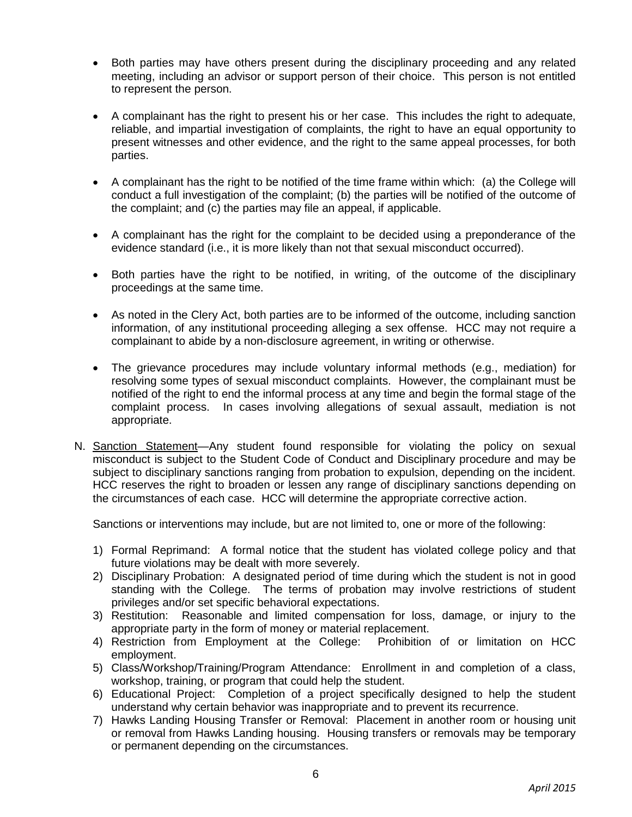- Both parties may have others present during the disciplinary proceeding and any related meeting, including an advisor or support person of their choice. This person is not entitled to represent the person.
- A complainant has the right to present his or her case. This includes the right to adequate, reliable, and impartial investigation of complaints, the right to have an equal opportunity to present witnesses and other evidence, and the right to the same appeal processes, for both parties.
- A complainant has the right to be notified of the time frame within which: (a) the College will conduct a full investigation of the complaint; (b) the parties will be notified of the outcome of the complaint; and (c) the parties may file an appeal, if applicable.
- A complainant has the right for the complaint to be decided using a preponderance of the evidence standard (i.e., it is more likely than not that sexual misconduct occurred).
- Both parties have the right to be notified, in writing, of the outcome of the disciplinary proceedings at the same time.
- As noted in the Clery Act, both parties are to be informed of the outcome, including sanction information, of any institutional proceeding alleging a sex offense. HCC may not require a complainant to abide by a non-disclosure agreement, in writing or otherwise.
- The grievance procedures may include voluntary informal methods (e.g., mediation) for resolving some types of sexual misconduct complaints. However, the complainant must be notified of the right to end the informal process at any time and begin the formal stage of the complaint process. In cases involving allegations of sexual assault, mediation is not appropriate.
- N. Sanction Statement—Any student found responsible for violating the policy on sexual misconduct is subject to the Student Code of Conduct and Disciplinary procedure and may be subject to disciplinary sanctions ranging from probation to expulsion, depending on the incident. HCC reserves the right to broaden or lessen any range of disciplinary sanctions depending on the circumstances of each case. HCC will determine the appropriate corrective action.

Sanctions or interventions may include, but are not limited to, one or more of the following:

- 1) Formal Reprimand: A formal notice that the student has violated college policy and that future violations may be dealt with more severely.
- 2) Disciplinary Probation: A designated period of time during which the student is not in good standing with the College. The terms of probation may involve restrictions of student privileges and/or set specific behavioral expectations.
- 3) Restitution: Reasonable and limited compensation for loss, damage, or injury to the appropriate party in the form of money or material replacement.
- 4) Restriction from Employment at the College: Prohibition of or limitation on HCC employment.
- 5) Class/Workshop/Training/Program Attendance: Enrollment in and completion of a class, workshop, training, or program that could help the student.
- 6) Educational Project: Completion of a project specifically designed to help the student understand why certain behavior was inappropriate and to prevent its recurrence.
- 7) Hawks Landing Housing Transfer or Removal: Placement in another room or housing unit or removal from Hawks Landing housing. Housing transfers or removals may be temporary or permanent depending on the circumstances.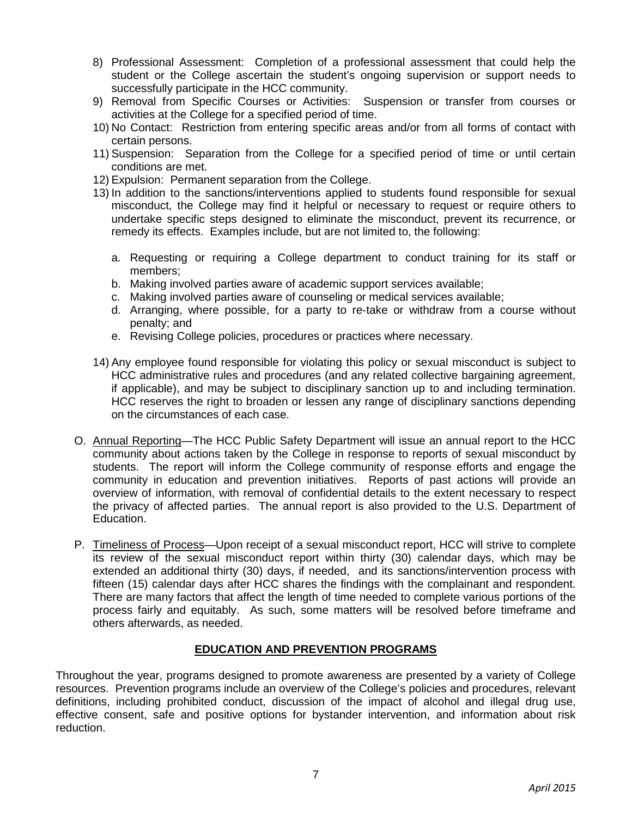- 8) Professional Assessment: Completion of a professional assessment that could help the student or the College ascertain the student's ongoing supervision or support needs to successfully participate in the HCC community.
- 9) Removal from Specific Courses or Activities: Suspension or transfer from courses or activities at the College for a specified period of time.
- 10) No Contact: Restriction from entering specific areas and/or from all forms of contact with certain persons.
- 11) Suspension: Separation from the College for a specified period of time or until certain conditions are met.
- 12) Expulsion: Permanent separation from the College.
- 13) In addition to the sanctions/interventions applied to students found responsible for sexual misconduct, the College may find it helpful or necessary to request or require others to undertake specific steps designed to eliminate the misconduct, prevent its recurrence, or remedy its effects. Examples include, but are not limited to, the following:
	- a. Requesting or requiring a College department to conduct training for its staff or members;
	- b. Making involved parties aware of academic support services available;
	- c. Making involved parties aware of counseling or medical services available;
	- d. Arranging, where possible, for a party to re-take or withdraw from a course without penalty; and
	- e. Revising College policies, procedures or practices where necessary.
- 14) Any employee found responsible for violating this policy or sexual misconduct is subject to HCC administrative rules and procedures (and any related collective bargaining agreement, if applicable), and may be subject to disciplinary sanction up to and including termination. HCC reserves the right to broaden or lessen any range of disciplinary sanctions depending on the circumstances of each case.
- O. Annual Reporting—The HCC Public Safety Department will issue an annual report to the HCC community about actions taken by the College in response to reports of sexual misconduct by students. The report will inform the College community of response efforts and engage the community in education and prevention initiatives. Reports of past actions will provide an overview of information, with removal of confidential details to the extent necessary to respect the privacy of affected parties. The annual report is also provided to the U.S. Department of Education.
- P. Timeliness of Process—Upon receipt of a sexual misconduct report, HCC will strive to complete its review of the sexual misconduct report within thirty (30) calendar days, which may be extended an additional thirty (30) days, if needed, and its sanctions/intervention process with fifteen (15) calendar days after HCC shares the findings with the complainant and respondent. There are many factors that affect the length of time needed to complete various portions of the process fairly and equitably. As such, some matters will be resolved before timeframe and others afterwards, as needed.

# **EDUCATION AND PREVENTION PROGRAMS**

Throughout the year, programs designed to promote awareness are presented by a variety of College resources. Prevention programs include an overview of the College's policies and procedures, relevant definitions, including prohibited conduct, discussion of the impact of alcohol and illegal drug use, effective consent, safe and positive options for bystander intervention, and information about risk reduction.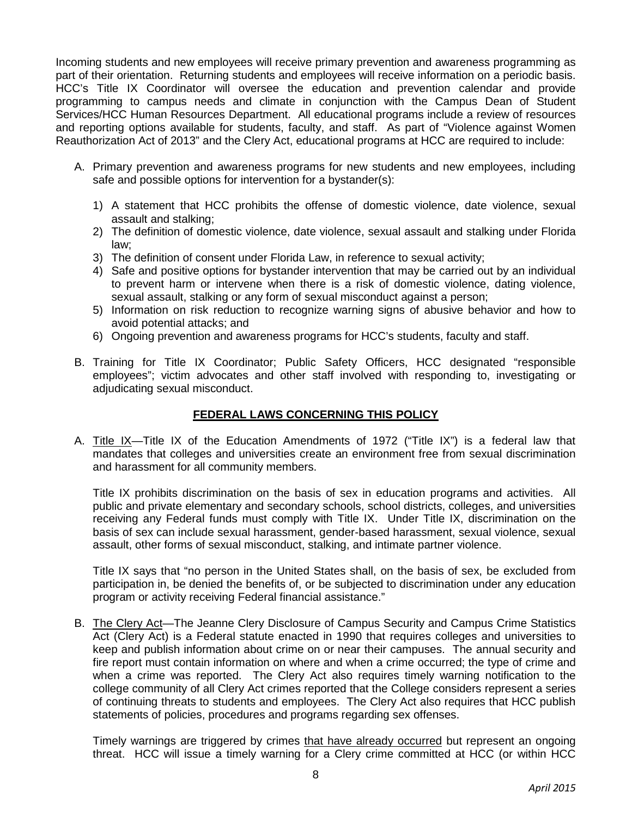Incoming students and new employees will receive primary prevention and awareness programming as part of their orientation. Returning students and employees will receive information on a periodic basis. HCC's Title IX Coordinator will oversee the education and prevention calendar and provide programming to campus needs and climate in conjunction with the Campus Dean of Student Services/HCC Human Resources Department. All educational programs include a review of resources and reporting options available for students, faculty, and staff. As part of "Violence against Women Reauthorization Act of 2013" and the Clery Act, educational programs at HCC are required to include:

- A. Primary prevention and awareness programs for new students and new employees, including safe and possible options for intervention for a bystander(s):
	- 1) A statement that HCC prohibits the offense of domestic violence, date violence, sexual assault and stalking;
	- 2) The definition of domestic violence, date violence, sexual assault and stalking under Florida law;
	- 3) The definition of consent under Florida Law, in reference to sexual activity;
	- 4) Safe and positive options for bystander intervention that may be carried out by an individual to prevent harm or intervene when there is a risk of domestic violence, dating violence, sexual assault, stalking or any form of sexual misconduct against a person;
	- 5) Information on risk reduction to recognize warning signs of abusive behavior and how to avoid potential attacks; and
	- 6) Ongoing prevention and awareness programs for HCC's students, faculty and staff.
- B. Training for Title IX Coordinator; Public Safety Officers, HCC designated "responsible employees"; victim advocates and other staff involved with responding to, investigating or adjudicating sexual misconduct.

## **FEDERAL LAWS CONCERNING THIS POLICY**

A. Title IX—Title IX of the Education Amendments of 1972 ("Title IX") is a federal law that mandates that colleges and universities create an environment free from sexual discrimination and harassment for all community members.

Title IX prohibits discrimination on the basis of sex in education programs and activities. All public and private elementary and secondary schools, school districts, colleges, and universities receiving any Federal funds must comply with Title IX. Under Title IX, discrimination on the basis of sex can include sexual harassment, gender-based harassment, sexual violence, sexual assault, other forms of sexual misconduct, stalking, and intimate partner violence.

Title IX says that "no person in the United States shall, on the basis of sex, be excluded from participation in, be denied the benefits of, or be subjected to discrimination under any education program or activity receiving Federal financial assistance."

B. The Clery Act—The Jeanne Clery Disclosure of Campus Security and Campus Crime Statistics Act (Clery Act) is a Federal statute enacted in 1990 that requires colleges and universities to keep and publish information about crime on or near their campuses. The annual security and fire report must contain information on where and when a crime occurred; the type of crime and when a crime was reported. The Clery Act also requires timely warning notification to the college community of all Clery Act crimes reported that the College considers represent a series of continuing threats to students and employees. The Clery Act also requires that HCC publish statements of policies, procedures and programs regarding sex offenses.

Timely warnings are triggered by crimes that have already occurred but represent an ongoing threat. HCC will issue a timely warning for a Clery crime committed at HCC (or within HCC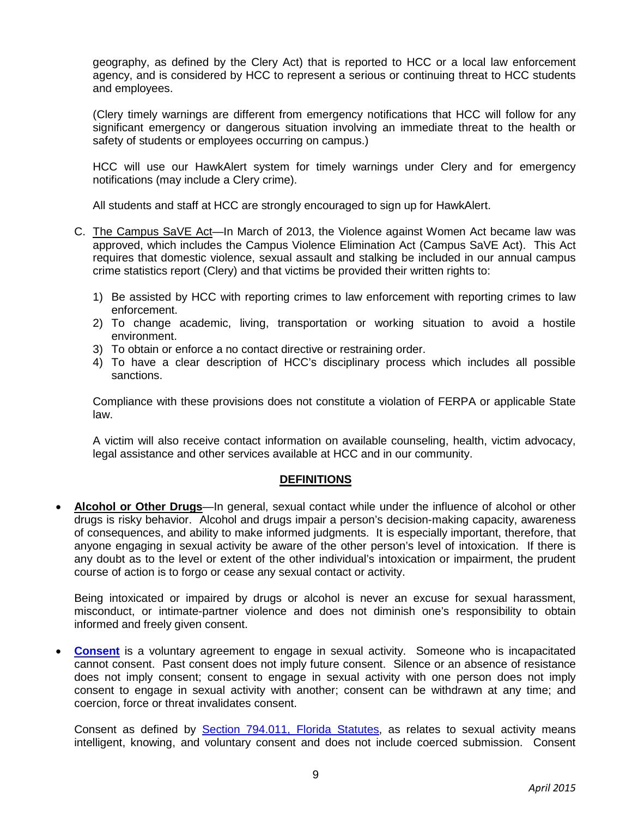geography, as defined by the Clery Act) that is reported to HCC or a local law enforcement agency, and is considered by HCC to represent a serious or continuing threat to HCC students and employees.

(Clery timely warnings are different from emergency notifications that HCC will follow for any significant emergency or dangerous situation involving an immediate threat to the health or safety of students or employees occurring on campus.)

HCC will use our HawkAlert system for timely warnings under Clery and for emergency notifications (may include a Clery crime).

All students and staff at HCC are strongly encouraged to sign up for HawkAlert.

- C. The Campus SaVE Act—In March of 2013, the Violence against Women Act became law was approved, which includes the Campus Violence Elimination Act (Campus SaVE Act). This Act requires that domestic violence, sexual assault and stalking be included in our annual campus crime statistics report (Clery) and that victims be provided their written rights to:
	- 1) Be assisted by HCC with reporting crimes to law enforcement with reporting crimes to law enforcement.
	- 2) To change academic, living, transportation or working situation to avoid a hostile environment.
	- 3) To obtain or enforce a no contact directive or restraining order.
	- 4) To have a clear description of HCC's disciplinary process which includes all possible sanctions.

Compliance with these provisions does not constitute a violation of FERPA or applicable State law.

A victim will also receive contact information on available counseling, health, victim advocacy, legal assistance and other services available at HCC and in our community.

# **DEFINITIONS**

• **Alcohol or Other Drugs**—In general, sexual contact while under the influence of alcohol or other drugs is risky behavior. Alcohol and drugs impair a person's decision-making capacity, awareness of consequences, and ability to make informed judgments. It is especially important, therefore, that anyone engaging in sexual activity be aware of the other person's level of intoxication. If there is any doubt as to the level or extent of the other individual's intoxication or impairment, the prudent course of action is to forgo or cease any sexual contact or activity.

Being intoxicated or impaired by drugs or alcohol is never an excuse for sexual harassment, misconduct, or intimate-partner violence and does not diminish one's responsibility to obtain informed and freely given consent.

**[Consent](http://www.leg.state.fl.us/STATUTES/index.cfm?App_mode=Display_Statute&Search_String=&URL=0700-0799/0794/Sections/0794.011.html)** is a voluntary agreement to engage in sexual activity. Someone who is incapacitated cannot consent. Past consent does not imply future consent. Silence or an absence of resistance does not imply consent; consent to engage in sexual activity with one person does not imply consent to engage in sexual activity with another; consent can be withdrawn at any time; and coercion, force or threat invalidates consent.

Consent as defined by **Section 794.011, Florida Statutes**, as relates to sexual activity means intelligent, knowing, and voluntary consent and does not include coerced submission. Consent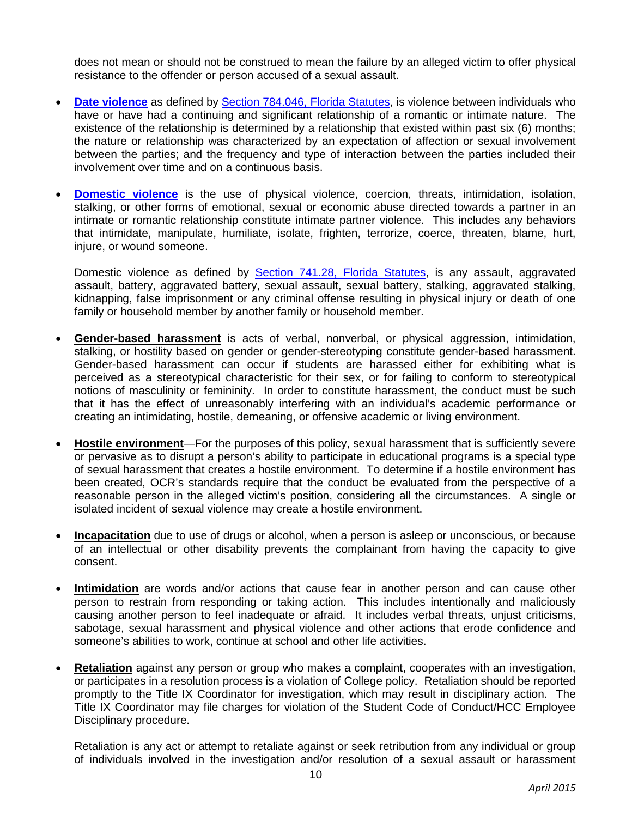does not mean or should not be construed to mean the failure by an alleged victim to offer physical resistance to the offender or person accused of a sexual assault.

- **[Date violence](http://www.leg.state.fl.us/STATUTES/index.cfm?App_mode=Display_Statute&Search_String=&URL=0700-0799/0784/Sections/0784.046.html)** as defined by [Section 784.046, Florida Statutes,](http://www.leg.state.fl.us/STATUTES/index.cfm?App_mode=Display_Statute&Search_String=&URL=0700-0799/0784/Sections/0784.046.html) is violence between individuals who have or have had a continuing and significant relationship of a romantic or intimate nature. The existence of the relationship is determined by a relationship that existed within past six (6) months; the nature or relationship was characterized by an expectation of affection or sexual involvement between the parties; and the frequency and type of interaction between the parties included their involvement over time and on a continuous basis.
- **[Domestic violence](http://www.leg.state.fl.us/STATUTES/index.cfm?App_mode=Display_Statute&Search_String=&URL=0700-0799/0741/Sections/0741.28.html)** is the use of physical violence, coercion, threats, intimidation, isolation, stalking, or other forms of emotional, sexual or economic abuse directed towards a partner in an intimate or romantic relationship constitute intimate partner violence. This includes any behaviors that intimidate, manipulate, humiliate, isolate, frighten, terrorize, coerce, threaten, blame, hurt, injure, or wound someone.

Domestic violence as defined by [Section 741.28, Florida Statutes,](http://www.leg.state.fl.us/STATUTES/index.cfm?App_mode=Display_Statute&Search_String=&URL=0700-0799/0741/Sections/0741.28.html) is any assault, aggravated assault, battery, aggravated battery, sexual assault, sexual battery, stalking, aggravated stalking, kidnapping, false imprisonment or any criminal offense resulting in physical injury or death of one family or household member by another family or household member.

- **Gender-based harassment** is acts of verbal, nonverbal, or physical aggression, intimidation, stalking, or hostility based on gender or gender-stereotyping constitute gender-based harassment. Gender-based harassment can occur if students are harassed either for exhibiting what is perceived as a stereotypical characteristic for their sex, or for failing to conform to stereotypical notions of masculinity or femininity. In order to constitute harassment, the conduct must be such that it has the effect of unreasonably interfering with an individual's academic performance or creating an intimidating, hostile, demeaning, or offensive academic or living environment.
- **Hostile environment**—For the purposes of this policy, sexual harassment that is sufficiently severe or pervasive as to disrupt a person's ability to participate in educational programs is a special type of sexual harassment that creates a hostile environment. To determine if a hostile environment has been created, OCR's standards require that the conduct be evaluated from the perspective of a reasonable person in the alleged victim's position, considering all the circumstances. A single or isolated incident of sexual violence may create a hostile environment.
- **Incapacitation** due to use of drugs or alcohol, when a person is asleep or unconscious, or because of an intellectual or other disability prevents the complainant from having the capacity to give consent.
- **Intimidation** are words and/or actions that cause fear in another person and can cause other person to restrain from responding or taking action. This includes intentionally and maliciously causing another person to feel inadequate or afraid. It includes verbal threats, unjust criticisms, sabotage, sexual harassment and physical violence and other actions that erode confidence and someone's abilities to work, continue at school and other life activities.
- **Retaliation** against any person or group who makes a complaint, cooperates with an investigation, or participates in a resolution process is a violation of College policy. Retaliation should be reported promptly to the Title IX Coordinator for investigation, which may result in disciplinary action. The Title IX Coordinator may file charges for violation of the Student Code of Conduct/HCC Employee Disciplinary procedure.

Retaliation is any act or attempt to retaliate against or seek retribution from any individual or group of individuals involved in the investigation and/or resolution of a sexual assault or harassment